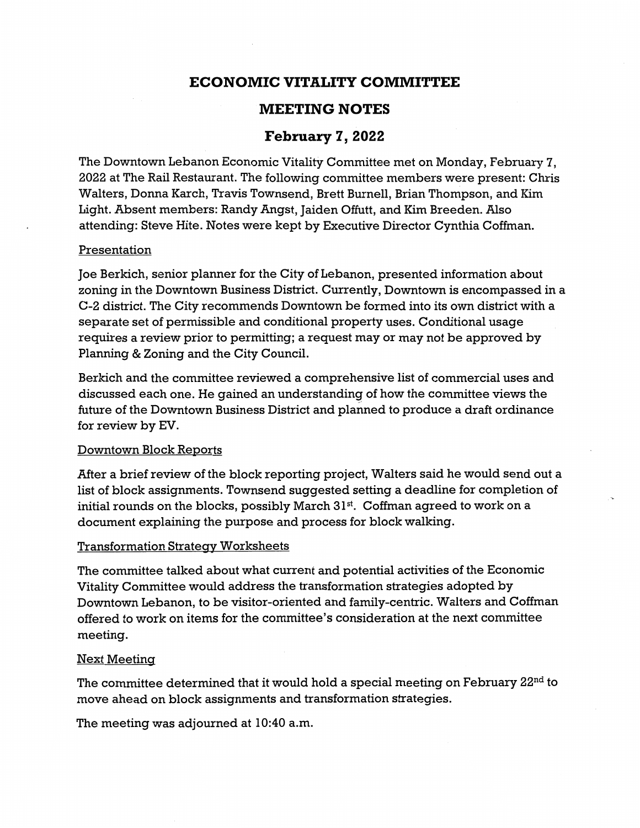# **ECONOMIC VITALITY COMMITTEE**

## **MEETING NOTES**

### **February 7, 2022**

The Downtown Lebanon Economic Vitality Committee met on Monday, February 7, 2022 at The Rail Restaurant. The following committee members were present: Chris Walters, Donna Karch, Travis Townsend, Brett Burnell, Brian Thompson, and Kim Light. Absent members: Randy Angst, Jaiden Offutt, and Kim Breeden. Also attending: Steve Hite. Notes were kept by Executive Director Cynthia Coffman.

### Presentation

Joe Berkich, senior planner for the City of Lebanon, presented information about zoning in the Downtown Business District. Currently, Downtown is encompassed in a C-2 district. The City recommends Downtown be formed into its own district with a separate set of permissible and conditional property uses. Conditional usage requires a review prior to permitting; a request may or may not be approved by Planning & Zoning and the City Council.

Berkich and the committee reviewed a comprehensive list of commercial uses and discussed each one. He gained an understanding of how the committee views the future of the Downtown Business District and planned to produce a draft ordinance for review by EV.

### Downtown Block Reports

After a brief review of the block reporting project, Walters said he would send out a list of block assignments. Townsend suggested setting a deadline for completion of initial rounds on the blocks, possibly March  $31<sup>st</sup>$ . Coffman agreed to work on a document explaining the purpose and process for block walking.

### Transformation Strategy Worksheets

The committee talked about what current and potential activities of the Economic Vitality Committee would address the transformation strategies adopted by Downtown Lebanon, to be visitor-oriented and family-centric. Walters and Coffman offered to work on items for the committee's consideration at the next committee meeting.

#### Next Meeting

The committee determined that it would hold a special meeting on February 22nd to move ahead on block assignments and transformation strategies.

The meeting was adjourned at 10:40 a.m.